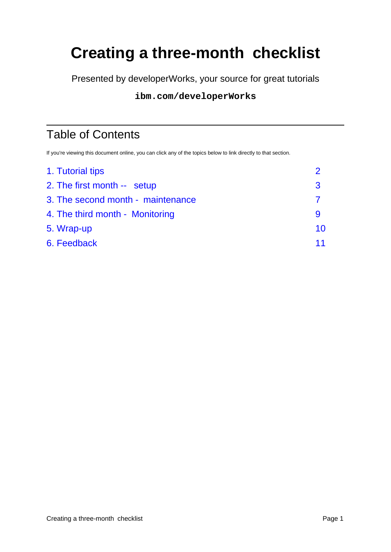# **Creating a three-month checklist**

Presented by developerWorks, your source for great tutorials

#### **ibm.com/developerWorks**

# Table of Contents

If you're viewing this document online, you can click any of the topics below to link directly to that section.

| 1. Tutorial tips                  |    |
|-----------------------------------|----|
| 2. The first month -- setup       | 3  |
| 3. The second month - maintenance |    |
| 4. The third month - Monitoring   | 9  |
| 5. Wrap-up                        | 10 |
| 6. Feedback                       | 11 |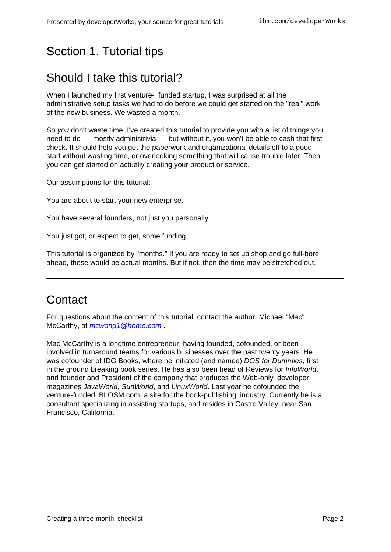## <span id="page-1-0"></span>Section 1. Tutorial tips

### Should I take this tutorial?

When I launched my first venture- funded startup, I was surprised at all the administrative setup tasks we had to do before we could get started on the "real" work of the new business. We wasted a month.

So you don't waste time, I've created this tutorial to provide you with a list of things you need to do -- mostly administrivia -- but without it, you won't be able to cash that first check. It should help you get the paperwork and organizational details off to a good start without wasting time, or overlooking something that will cause trouble later. Then you can get started on actually creating your product or service.

Our assumptions for this tutorial:

You are about to start your new enterprise.

You have several founders, not just you personally.

You just got, or expect to get, some funding.

This tutorial is organized by "months." If you are ready to set up shop and go full-bore ahead, these would be actual months. But if not, then the time may be stretched out.

#### **Contact**

For questions about the content of this tutorial, contact the author, Michael "Mac" McCarthy, at *[mcwong1@home.com](mailto:mcwong1@home.com)*.

Mac McCarthy is a longtime entrepreneur, having founded, cofounded, or been involved in turnaround teams for various businesses over the past twenty years. He was cofounder of IDG Books, where he initiated (and named) DOS for Dummies, first in the ground breaking book series. He has also been head of Reviews for InfoWorld, and founder and President of the company that produces the Web-only developer magazines JavaWorld, SunWorld, and LinuxWorld. Last year he cofounded the venture-funded BLOSM.com, a site for the book-publishing industry. Currently he is a consultant specializing in assisting startups, and resides in Castro Valley, near San Francisco, California.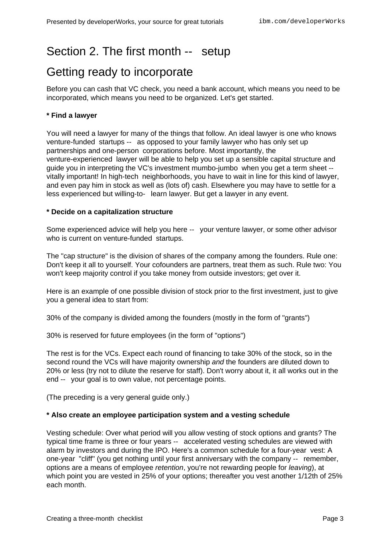### <span id="page-2-0"></span>Section 2. The first month -- setup

### Getting ready to incorporate

Before you can cash that VC check, you need a bank account, which means you need to be incorporated, which means you need to be organized. Let's get started.

#### **\* Find a lawyer**

You will need a lawyer for many of the things that follow. An ideal lawyer is one who knows venture-funded startups -- as opposed to your family lawyer who has only set up partnerships and one-person corporations before. Most importantly, the venture-experienced lawyer will be able to help you set up a sensible capital structure and guide you in interpreting the VC's investment mumbo-jumbo when you get a term sheet - vitally important! In high-tech neighborhoods, you have to wait in line for this kind of lawyer, and even pay him in stock as well as (lots of) cash. Elsewhere you may have to settle for a less experienced but willing-to- learn lawyer. But get a lawyer in any event.

#### **\* Decide on a capitalization structure**

Some experienced advice will help you here -- your venture lawyer, or some other advisor who is current on venture-funded startups.

The "cap structure" is the division of shares of the company among the founders. Rule one: Don't keep it all to yourself. Your cofounders are partners, treat them as such. Rule two: You won't keep majority control if you take money from outside investors; get over it.

Here is an example of one possible division of stock prior to the first investment, just to give you a general idea to start from:

30% of the company is divided among the founders (mostly in the form of "grants")

30% is reserved for future employees (in the form of "options")

The rest is for the VCs. Expect each round of financing to take 30% of the stock, so in the second round the VCs will have majority ownership and the founders are diluted down to 20% or less (try not to dilute the reserve for staff). Don't worry about it, it all works out in the end -- your goal is to own value, not percentage points.

(The preceding is a very general guide only.)

#### **\* Also create an employee participation system and a vesting schedule**

Vesting schedule: Over what period will you allow vesting of stock options and grants? The typical time frame is three or four years -- accelerated vesting schedules are viewed with alarm by investors and during the IPO. Here's a common schedule for a four-year vest: A one-year "cliff" (you get nothing until your first anniversary with the company -- remember, options are a means of employee retention, you're not rewarding people for leaving), at which point you are vested in 25% of your options; thereafter you vest another 1/12th of 25% each month.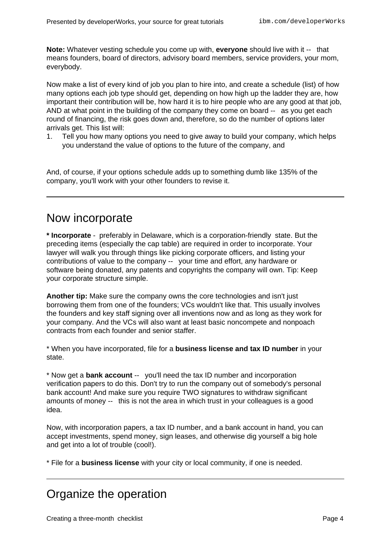**Note:** Whatever vesting schedule you come up with, **everyone** should live with it -- that means founders, board of directors, advisory board members, service providers, your mom, everybody.

Now make a list of every kind of job you plan to hire into, and create a schedule (list) of how many options each job type should get, depending on how high up the ladder they are, how important their contribution will be, how hard it is to hire people who are any good at that job, AND at what point in the building of the company they come on board -- as you get each round of financing, the risk goes down and, therefore, so do the number of options later arrivals get. This list will:

1. Tell you how many options you need to give away to build your company, which helps you understand the value of options to the future of the company, and

And, of course, if your options schedule adds up to something dumb like 135% of the company, you'll work with your other founders to revise it.

#### Now incorporate

**\* Incorporate** - preferably in Delaware, which is a corporation-friendly state. But the preceding items (especially the cap table) are required in order to incorporate. Your lawyer will walk you through things like picking corporate officers, and listing your contributions of value to the company -- your time and effort, any hardware or software being donated, any patents and copyrights the company will own. Tip: Keep your corporate structure simple.

**Another tip:** Make sure the company owns the core technologies and isn't just borrowing them from one of the founders; VCs wouldn't like that. This usually involves the founders and key staff signing over all inventions now and as long as they work for your company. And the VCs will also want at least basic noncompete and nonpoach contracts from each founder and senior staffer.

\* When you have incorporated, file for a **business license and tax ID number** in your state.

\* Now get a **bank account** -- you'll need the tax ID number and incorporation verification papers to do this. Don't try to run the company out of somebody's personal bank account! And make sure you require TWO signatures to withdraw significant amounts of money -- this is not the area in which trust in your colleagues is a good idea.

Now, with incorporation papers, a tax ID number, and a bank account in hand, you can accept investments, spend money, sign leases, and otherwise dig yourself a big hole and get into a lot of trouble (cool!).

\* File for a **business license** with your city or local community, if one is needed.

### Organize the operation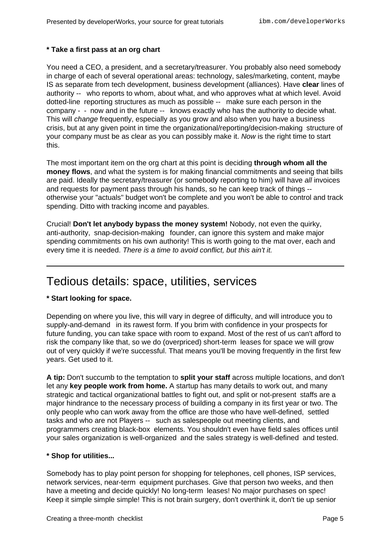#### **\* Take a first pass at an org chart**

You need a CEO, a president, and a secretary/treasurer. You probably also need somebody in charge of each of several operational areas: technology, sales/marketing, content, maybe IS as separate from tech development, business development (alliances). Have **clear** lines of authority -- who reports to whom, about what, and who approves what at which level. Avoid dotted-line reporting structures as much as possible -- make sure each person in the company - - now and in the future -- knows exactly who has the authority to decide what. This will change frequently, especially as you grow and also when you have a business crisis, but at any given point in time the organizational/reporting/decision-making structure of your company must be as clear as you can possibly make it. Now is the right time to start this.

The most important item on the org chart at this point is deciding **through whom all the money flows**, and what the system is for making financial commitments and seeing that bills are paid. Ideally the secretary/treasurer (or somebody reporting to him) will have all invoices and requests for payment pass through his hands, so he can keep track of things - otherwise your "actuals" budget won't be complete and you won't be able to control and track spending. Ditto with tracking income and payables.

Crucial! **Don't let anybody bypass the money system!** Nobody, not even the quirky, anti-authority, snap-decision-making founder, can ignore this system and make major spending commitments on his own authority! This is worth going to the mat over, each and every time it is needed. There is a time to avoid conflict, but this ain't it.

#### Tedious details: space, utilities, services

#### **\* Start looking for space.**

Depending on where you live, this will vary in degree of difficulty, and will introduce you to supply-and-demand in its rawest form. If you brim with confidence in your prospects for future funding, you can take space with room to expand. Most of the rest of us can't afford to risk the company like that, so we do (overpriced) short-term leases for space we will grow out of very quickly if we're successful. That means you'll be moving frequently in the first few years. Get used to it.

**A tip:** Don't succumb to the temptation to **split your staff** across multiple locations, and don't let any **key people work from home.** A startup has many details to work out, and many strategic and tactical organizational battles to fight out, and split or not-present staffs are a major hindrance to the necessary process of building a company in its first year or two. The only people who can work away from the office are those who have well-defined, settled tasks and who are not Players -- such as salespeople out meeting clients, and programmers creating black-box elements. You shouldn't even have field sales offices until your sales organization is well-organized and the sales strategy is well-defined and tested.

#### **\* Shop for utilities...**

Somebody has to play point person for shopping for telephones, cell phones, ISP services, network services, near-term equipment purchases. Give that person two weeks, and then have a meeting and decide quickly! No long-term leases! No major purchases on spec! Keep it simple simple simple! This is not brain surgery, don't overthink it, don't tie up senior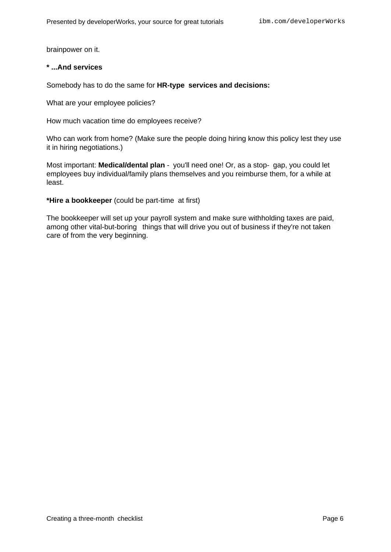brainpower on it.

#### **\* ...And services**

Somebody has to do the same for **HR-type services and decisions:**

What are your employee policies?

How much vacation time do employees receive?

Who can work from home? (Make sure the people doing hiring know this policy lest they use it in hiring negotiations.)

Most important: **Medical/dental plan** - you'll need one! Or, as a stop- gap, you could let employees buy individual/family plans themselves and you reimburse them, for a while at least.

**\*Hire a bookkeeper** (could be part-time at first)

The bookkeeper will set up your payroll system and make sure withholding taxes are paid, among other vital-but-boring things that will drive you out of business if they're not taken care of from the very beginning.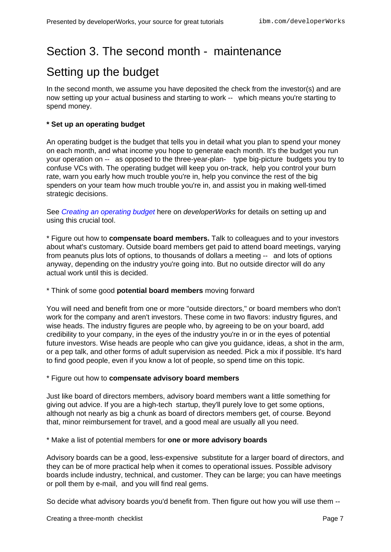### <span id="page-6-0"></span>Section 3. The second month - maintenance

### Setting up the budget

In the second month, we assume you have deposited the check from the investor(s) and are now setting up your actual business and starting to work -- which means you're starting to spend money.

#### **\* Set up an operating budget**

An operating budget is the budget that tells you in detail what you plan to spend your money on each month, and what income you hope to generate each month. It's the budget you run your operation on -- as opposed to the three-year-plan- type big-picture budgets you try to confuse VCs with. The operating budget will keep you on-track, help you control your burn rate, warn you early how much trouble you're in, help you convince the rest of the big spenders on your team how much trouble you're in, and assist you in making well-timed strategic decisions.

See [Creating](http://www-105.ibm.com/developerworks/education.nsf/startup-onlinecourse-bytitle/0904DC5F4408CEFD862569CE006DB0F6?OpenDocument) [an](http://www-105.ibm.com/developerworks/education.nsf/startup-onlinecourse-bytitle/0904DC5F4408CEFD862569CE006DB0F6?OpenDocument) [operating](http://www-105.ibm.com/developerworks/education.nsf/startup-onlinecourse-bytitle/0904DC5F4408CEFD862569CE006DB0F6?OpenDocument) [budget](http://www-105.ibm.com/developerworks/education.nsf/startup-onlinecourse-bytitle/0904DC5F4408CEFD862569CE006DB0F6?OpenDocument) here on developerWorks for details on setting up and using this crucial tool.

\* Figure out how to **compensate board members.** Talk to colleagues and to your investors about what's customary. Outside board members get paid to attend board meetings, varying from peanuts plus lots of options, to thousands of dollars a meeting -- and lots of options anyway, depending on the industry you're going into. But no outside director will do any actual work until this is decided.

#### \* Think of some good **potential board members** moving forward

You will need and benefit from one or more "outside directors," or board members who don't work for the company and aren't investors. These come in two flavors: industry figures, and wise heads. The industry figures are people who, by agreeing to be on your board, add credibility to your company, in the eyes of the industry you're in or in the eyes of potential future investors. Wise heads are people who can give you guidance, ideas, a shot in the arm, or a pep talk, and other forms of adult supervision as needed. Pick a mix if possible. It's hard to find good people, even if you know a lot of people, so spend time on this topic.

#### \* Figure out how to **compensate advisory board members**

Just like board of directors members, advisory board members want a little something for giving out advice. If you are a high-tech startup, they'll purely love to get some options, although not nearly as big a chunk as board of directors members get, of course. Beyond that, minor reimbursement for travel, and a good meal are usually all you need.

\* Make a list of potential members for **one or more advisory boards**

Advisory boards can be a good, less-expensive substitute for a larger board of directors, and they can be of more practical help when it comes to operational issues. Possible advisory boards include industry, technical, and customer. They can be large; you can have meetings or poll them by e-mail, and you will find real gems.

So decide what advisory boards you'd benefit from. Then figure out how you will use them --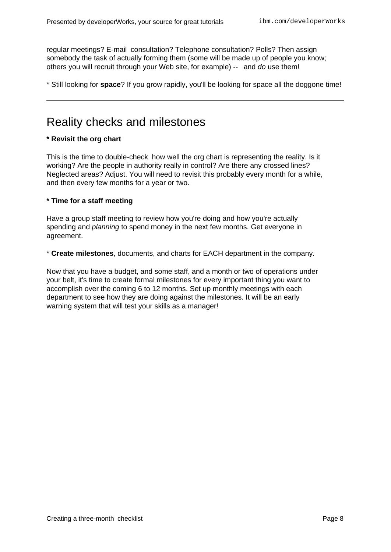regular meetings? E-mail consultation? Telephone consultation? Polls? Then assign somebody the task of actually forming them (some will be made up of people you know; others you will recruit through your Web site, for example) -- and do use them!

\* Still looking for **space**? If you grow rapidly, you'll be looking for space all the doggone time!

#### Reality checks and milestones

#### **\* Revisit the org chart**

This is the time to double-check how well the org chart is representing the reality. Is it working? Are the people in authority really in control? Are there any crossed lines? Neglected areas? Adjust. You will need to revisit this probably every month for a while, and then every few months for a year or two.

#### **\* Time for a staff meeting**

Have a group staff meeting to review how you're doing and how you're actually spending and *planning* to spend money in the next few months. Get everyone in agreement.

\* **Create milestones**, documents, and charts for EACH department in the company.

Now that you have a budget, and some staff, and a month or two of operations under your belt, it's time to create formal milestones for every important thing you want to accomplish over the coming 6 to 12 months. Set up monthly meetings with each department to see how they are doing against the milestones. It will be an early warning system that will test your skills as a manager!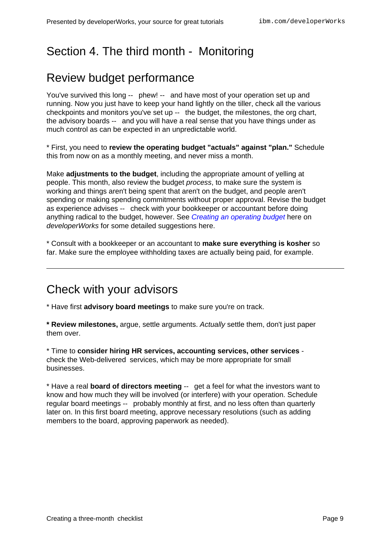## <span id="page-8-0"></span>Section 4. The third month - Monitoring

### Review budget performance

You've survived this long -- phew! -- and have most of your operation set up and running. Now you just have to keep your hand lightly on the tiller, check all the various checkpoints and monitors you've set up -- the budget, the milestones, the org chart, the advisory boards -- and you will have a real sense that you have things under as much control as can be expected in an unpredictable world.

\* First, you need to **review the operating budget "actuals" against "plan."** Schedule this from now on as a monthly meeting, and never miss a month.

Make **adjustments to the budget**, including the appropriate amount of yelling at people. This month, also review the budget process, to make sure the system is working and things aren't being spent that aren't on the budget, and people aren't spending or making spending commitments without proper approval. Revise the budget as experience advises -- check with your bookkeeper or accountant before doing anything radical to the budget, however. See [Creating](http://www-105.ibm.com/developerworks/education.nsf/startup-onlinecourse-bytitle/0904DC5F4408CEFD862569CE006DB0F6?OpenDocument) [an](http://www-105.ibm.com/developerworks/education.nsf/startup-onlinecourse-bytitle/0904DC5F4408CEFD862569CE006DB0F6?OpenDocument) [operating](http://www-105.ibm.com/developerworks/education.nsf/startup-onlinecourse-bytitle/0904DC5F4408CEFD862569CE006DB0F6?OpenDocument) [budget](http://www-105.ibm.com/developerworks/education.nsf/startup-onlinecourse-bytitle/0904DC5F4408CEFD862569CE006DB0F6?OpenDocument) here on developerWorks for some detailed suggestions here.

\* Consult with a bookkeeper or an accountant to **make sure everything is kosher** so far. Make sure the employee withholding taxes are actually being paid, for example.

### Check with your advisors

\* Have first **advisory board meetings** to make sure you're on track.

**\* Review milestones,** argue, settle arguments. Actually settle them, don't just paper them over.

\* Time to **consider hiring HR services, accounting services, other services** check the Web-delivered services, which may be more appropriate for small businesses.

\* Have a real **board of directors meeting** -- get a feel for what the investors want to know and how much they will be involved (or interfere) with your operation. Schedule regular board meetings -- probably monthly at first, and no less often than quarterly later on. In this first board meeting, approve necessary resolutions (such as adding members to the board, approving paperwork as needed).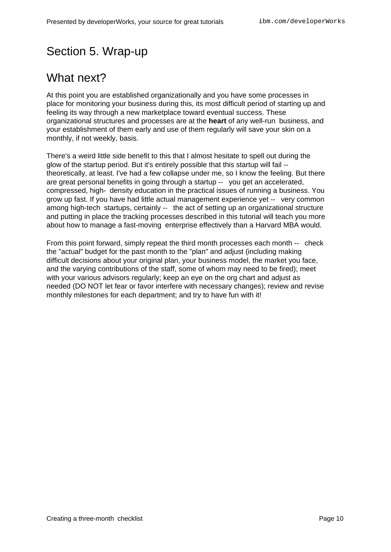### <span id="page-9-0"></span>Section 5. Wrap-up

### What next?

At this point you are established organizationally and you have some processes in place for monitoring your business during this, its most difficult period of starting up and feeling its way through a new marketplace toward eventual success. These organizational structures and processes are at the **heart** of any well-run business, and your establishment of them early and use of them regularly will save your skin on a monthly, if not weekly, basis.

There's a weird little side benefit to this that I almost hesitate to spell out during the glow of the startup period. But it's entirely possible that this startup will fail - theoretically, at least. I've had a few collapse under me, so I know the feeling. But there are great personal benefits in going through a startup -- you get an accelerated, compressed, high- density education in the practical issues of running a business. You grow up fast. If you have had little actual management experience yet -- very common among high-tech startups, certainly -- the act of setting up an organizational structure and putting in place the tracking processes described in this tutorial will teach you more about how to manage a fast-moving enterprise effectively than a Harvard MBA would.

From this point forward, simply repeat the third month processes each month -- check the "actual" budget for the past month to the "plan" and adjust (including making difficult decisions about your original plan, your business model, the market you face, and the varying contributions of the staff, some of whom may need to be fired); meet with your various advisors regularly; keep an eye on the org chart and adjust as needed (DO NOT let fear or favor interfere with necessary changes); review and revise monthly milestones for each department; and try to have fun with it!